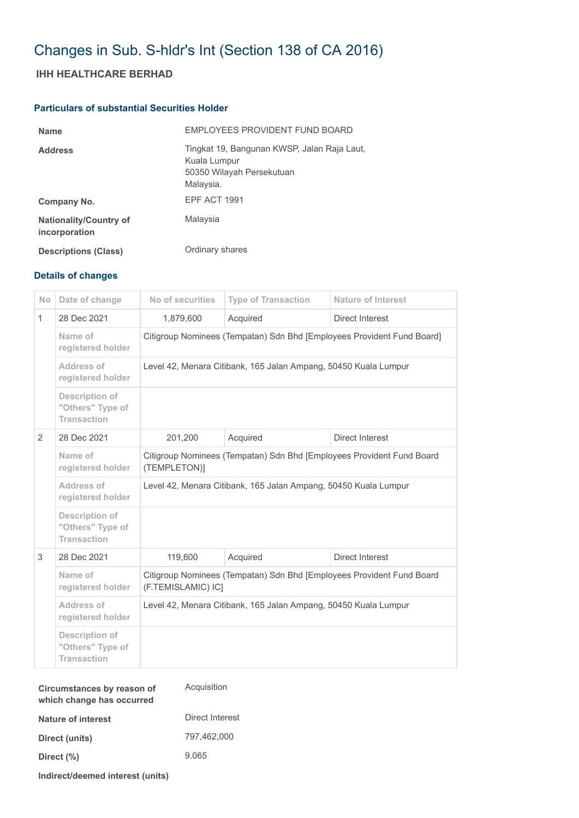## Changes in Sub. S-hldr's Int (Section 138 of CA 2016)

## **IHH HEALTHCARE BERHAD**

## **Particulars of substantial Securities Holder**

| <b>Name</b>                                    | EMPLOYEES PROVIDENT FUND BOARD                                                                        |
|------------------------------------------------|-------------------------------------------------------------------------------------------------------|
| <b>Address</b>                                 | Tingkat 19, Bangunan KWSP, Jalan Raja Laut,<br>Kuala Lumpur<br>50350 Wilayah Persekutuan<br>Malaysia. |
| Company No.                                    | EPF ACT 1991                                                                                          |
| <b>Nationality/Country of</b><br>incorporation | Malaysia                                                                                              |
| <b>Descriptions (Class)</b>                    | Ordinary shares                                                                                       |

## **Details of changes**

| <b>No</b>    | Date of change                                                  | No of securities                                                                            | <b>Type of Transaction</b> | <b>Nature of Interest</b> |  |
|--------------|-----------------------------------------------------------------|---------------------------------------------------------------------------------------------|----------------------------|---------------------------|--|
| $\mathbf{1}$ | 28 Dec 2021                                                     | 1,879,600                                                                                   | Acquired                   | Direct Interest           |  |
|              | Name of<br>registered holder                                    | Citigroup Nominees (Tempatan) Sdn Bhd [Employees Provident Fund Board]                      |                            |                           |  |
|              | Address of<br>registered holder                                 | Level 42, Menara Citibank, 165 Jalan Ampang, 50450 Kuala Lumpur                             |                            |                           |  |
|              | <b>Description of</b><br>"Others" Type of<br><b>Transaction</b> |                                                                                             |                            |                           |  |
| 2            | 28 Dec 2021                                                     | 201,200                                                                                     | Acquired                   | Direct Interest           |  |
|              | Name of<br>registered holder                                    | Citigroup Nominees (Tempatan) Sdn Bhd [Employees Provident Fund Board<br>(TEMPLETON)]       |                            |                           |  |
|              | Address of<br>registered holder                                 | Level 42, Menara Citibank, 165 Jalan Ampang, 50450 Kuala Lumpur                             |                            |                           |  |
|              | Description of<br>"Others" Type of<br><b>Transaction</b>        |                                                                                             |                            |                           |  |
| 3            | 28 Dec 2021                                                     | 119.600                                                                                     | Acquired                   | Direct Interest           |  |
|              | Name of<br>registered holder                                    | Citigroup Nominees (Tempatan) Sdn Bhd [Employees Provident Fund Board<br>(F.TEMISLAMIC) IC] |                            |                           |  |
|              | Address of<br>registered holder                                 | Level 42, Menara Citibank, 165 Jalan Ampang, 50450 Kuala Lumpur                             |                            |                           |  |
|              | <b>Description of</b><br>"Others" Type of<br><b>Transaction</b> |                                                                                             |                            |                           |  |

| Circumstances by reason of<br>which change has occurred | Acquisition     |  |
|---------------------------------------------------------|-----------------|--|
| Nature of interest                                      | Direct Interest |  |
| Direct (units)                                          | 797.462.000     |  |
| Direct (%)                                              | 9.065           |  |
| Indirect/deemed interest (units)                        |                 |  |